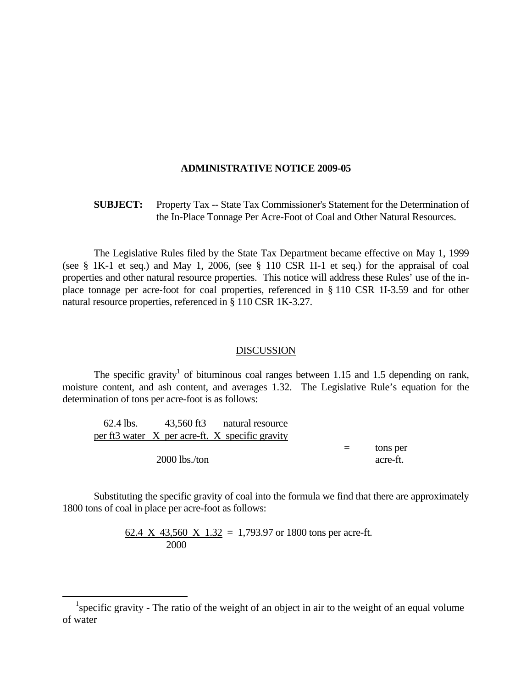## **ADMINISTRATIVE NOTICE 2009-05**

## **SUBJECT:** Property Tax -- State Tax Commissioner's Statement for the Determination of the In-Place Tonnage Per Acre-Foot of Coal and Other Natural Resources.

 The Legislative Rules filed by the State Tax Department became effective on May 1, 1999 (see § 1K-1 et seq.) and May 1, 2006, (see § 110 CSR 1I-1 et seq.) for the appraisal of coal properties and other natural resource properties. This notice will address these Rules' use of the inplace tonnage per acre-foot for coal properties, referenced in § 110 CSR 1I-3.59 and for other natural resource properties, referenced in § 110 CSR 1K-3.27.

## DISCUSSION

The specific gravity<sup>1</sup> of bituminous coal ranges between 1.15 and 1.5 depending on rank, moisture content, and ash content, and averages 1.32. The Legislative Rule's equation for the determination of tons per acre-foot is as follows:

|                 | 62.4 lbs. 43,560 ft3 natural resource           |     |          |
|-----------------|-------------------------------------------------|-----|----------|
|                 | per ft3 water X per acre-ft. X specific gravity |     |          |
|                 |                                                 | $=$ | tons per |
| $2000$ lbs./ton |                                                 |     | acre-ft. |

 Substituting the specific gravity of coal into the formula we find that there are approximately 1800 tons of coal in place per acre-foot as follows:

> 62.4 X 43,560 X 1.32 = 1,793.97 or 1800 tons per acre-ft. 2000

 $\overline{a}$ 

<sup>&</sup>lt;sup>1</sup> specific gravity - The ratio of the weight of an object in air to the weight of an equal volume of water